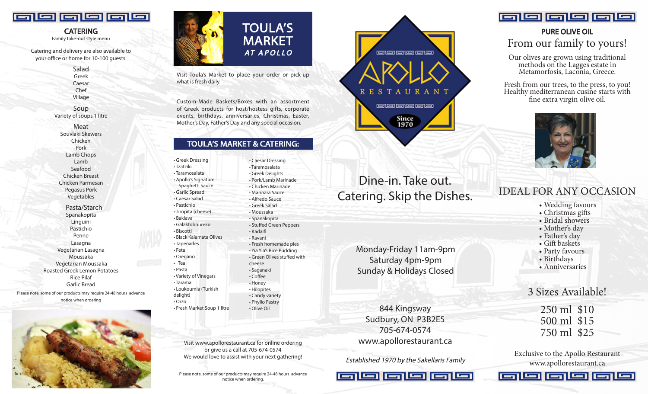

**CATERING**<br>Family take-out style menu

Catering and delivery are also available to your office or home for 10-100 guests.

> Salad Greek Caesar Chef Village

Soup Variety of soups 1 litre

Meat Souvlaki Skewers Chicken Pork Lamb Chops Lamb Seafood Chicken Breast Chicken Parmesan Pegasus Pork Vegetables

 Pasta/Starch Spanakopita Linguini Pastichio Penne Lasagna Vegetarian Lasagna Moussaka Vegetarian Moussaka Roasted Greek Lemon Potatoes Rice Pilaf Garlic Bread

Please note, some of our products may require 24-48 hours advance notice when ordering





Visit Toula's Market to place your order or pick-up what is fresh daily.

Custom-Made Baskets/Boxes with an assortment of Greek products for host/hostess gifts, corporate events, birthdays, anniversaries, Christmas, Easter, Mother's Day, Father's Day and any special occasion.

### TOULA'S MARKET & CATERING:

• Greek Dressing • Tzatziki • Taramosalata • Apollo's Signatu Spaghetti Sauce • Garlic Spread • Caesar Salad • Pastichio • Tiropita (cheese) • Baklava • Galaktoboureko • Biscotti • Black Kalamata • Tapenades • Feta • Oregano • Tea • Pasta

• Variety of Vinega • Tarama • Loukoumia (Tur delight) • Orzo • Fresh Market So

|            | • Caesar Dressing           |
|------------|-----------------------------|
|            | • Taramosalata              |
|            | • Greek Delights            |
| re         | · Pork/Lamb Marinade        |
| сe         | • Chicken Marinade          |
|            | • Marinara Sauce            |
|            | • Alfredo Sauce             |
|            | · Greek Salad               |
| )          | • Moussaka                  |
|            | • Spanakopita               |
|            | • Stuffed Green Peppers     |
|            | • Kadaifi                   |
| Olives     | • Ravani                    |
|            | • Fresh homemade pies       |
|            | • Yia Yia's Rice Pudding    |
|            | • Green Olives stuffed with |
|            | cheese                      |
|            | • Saganaki                  |
| ars        | • Coffee                    |
|            | • Honey                     |
| kish       | • Hilopites                 |
|            | • Candy variety             |
|            | • Phyllo Pastry             |
| up 1 litre | • Olive Oil                 |
|            |                             |

Visit www.apollorestaurant.ca for online ordering or give us a call at 705-674-0574 We would love to assist with your next gathering!

Please note, some of our products may require 24-48 hours advance notice when ordering.



# Dine-in. Take out. Catering. Skip the Dishes.

Monday-Friday 11am-9pm Saturday 4pm-9pm Sunday & Holidays Closed

844 Kingsway Sudbury, ON P3B2E5 705-674-0574 www.apollorestaurant.ca

Established 1970 by the Sakellaris Family





# PURE OLIVE OIL From our family to yours!

Our olives are grown using traditional methods on the Lagges estate in Metamorfosis, Laconia, Greece.

Fresh from our trees, to the press, to you! Healthy mediterranean cusine starts with fine extra virgin olive oil.



# IDEAL FOR ANY OCCASION

- Wedding favours
- Christmas gifts
- Bridal showers
- Mother's day
- Father's day
- Gift baskets
- Party favours
- Birthdays
- Anniversaries

3 Sizes Available!

250 ml \$10 500 ml \$15 750 ml \$25

Exclusive to the Apollo Restaurant www.apollorestaurant.ca